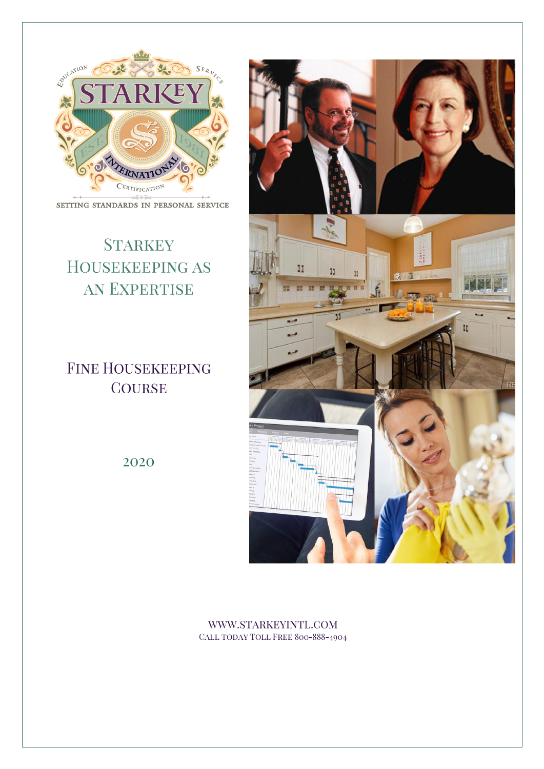

#### SETTING STANDARDS IN PERSONAL SERVICE

# **STARKEY** HOUSEKEEPING AS AN EXPERTISE

**FINE HOUSEKEEPING** COURSE



2020

WWW.STARKEYINTL.COM CALL TODAY TOLL FREE 800-888-4904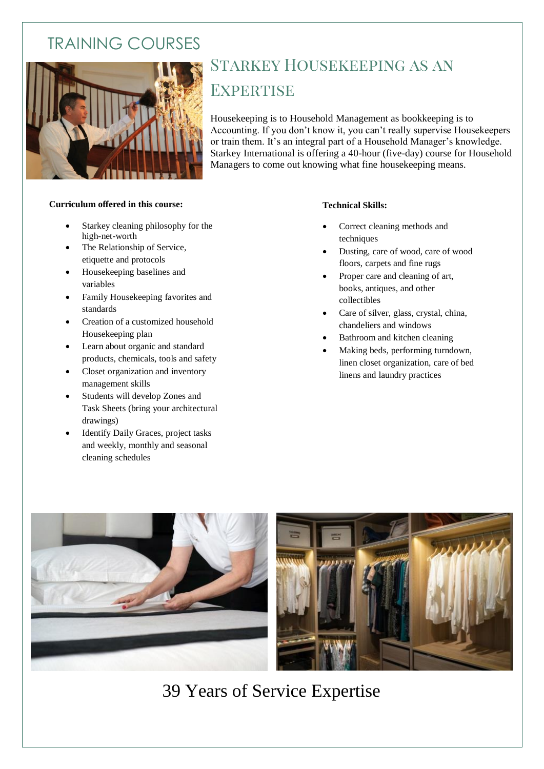## TRAINING COURSES



# **STARKEY HOUSEKEEPING AS AN EXPERTISE**

Housekeeping is to Household Management as bookkeeping is to Accounting. If you don't know it, you can't really supervise Housekeepers or train them. It's an integral part of a Household Manager's knowledge. Starkey International is offering a 40-hour (five-day) course for Household Managers to come out knowing what fine housekeeping means.

#### **Curriculum offered in this course:**

- Starkey cleaning philosophy for the high-net-worth
- The Relationship of Service, etiquette and protocols
- Housekeeping baselines and variables
- Family Housekeeping favorites and standards
- Creation of a customized household Housekeeping plan
- Learn about organic and standard products, chemicals, tools and safety
- Closet organization and inventory management skills
- Students will develop Zones and Task Sheets (bring your architectural drawings)
- Identify Daily Graces, project tasks and weekly, monthly and seasonal cleaning schedules

#### **Technical Skills:**

- Correct cleaning methods and techniques
- Dusting, care of wood, care of wood floors, carpets and fine rugs
- Proper care and cleaning of art, books, antiques, and other collectibles
- Care of silver, glass, crystal, china, chandeliers and windows
- Bathroom and kitchen cleaning
- Making beds, performing turndown, linen closet organization, care of bed linens and laundry practices



39 Years of Service Expertise